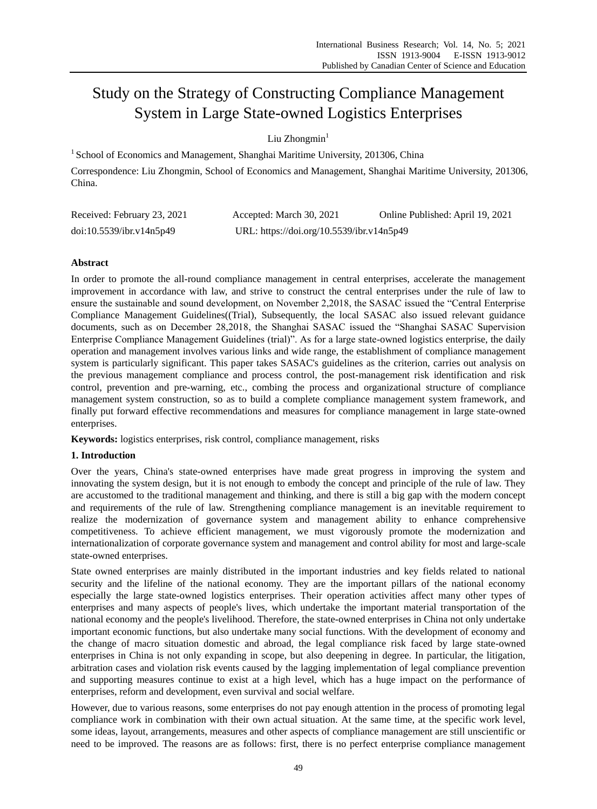# Study on the Strategy of Constructing Compliance Management System in Large State-owned Logistics Enterprises

Liu  $Z$ hongmin $<sup>1</sup>$ </sup>

<sup>1</sup> School of Economics and Management, Shanghai Maritime University, 201306, China

Correspondence: Liu Zhongmin, School of Economics and Management, Shanghai Maritime University, 201306, China.

| Received: February 23, 2021 | Accepted: March 30, 2021                  | Online Published: April 19, 2021 |
|-----------------------------|-------------------------------------------|----------------------------------|
| doi:10.5539/ibr.v14n5p49    | URL: https://doi.org/10.5539/ibr.v14n5p49 |                                  |

# **Abstract**

In order to promote the all-round compliance management in central enterprises, accelerate the management improvement in accordance with law, and strive to construct the central enterprises under the rule of law to ensure the sustainable and sound development, on November 2,2018, the SASAC issued the "Central Enterprise Compliance Management Guidelines((Trial), Subsequently, the local SASAC also issued relevant guidance documents, such as on December 28,2018, the Shanghai SASAC issued the "Shanghai SASAC Supervision Enterprise Compliance Management Guidelines (trial)". As for a large state-owned logistics enterprise, the daily operation and management involves various links and wide range, the establishment of compliance management system is particularly significant. This paper takes SASAC's guidelines as the criterion, carries out analysis on the previous management compliance and process control, the post-management risk identification and risk control, prevention and pre-warning, etc., combing the process and organizational structure of compliance management system construction, so as to build a complete compliance management system framework, and finally put forward effective recommendations and measures for compliance management in large state-owned enterprises.

**Keywords:** logistics enterprises, risk control, compliance management, risks

# **1. Introduction**

Over the years, China's state-owned enterprises have made great progress in improving the system and innovating the system design, but it is not enough to embody the concept and principle of the rule of law. They are accustomed to the traditional management and thinking, and there is still a big gap with the modern concept and requirements of the rule of law. Strengthening compliance management is an inevitable requirement to realize the modernization of governance system and management ability to enhance comprehensive competitiveness. To achieve efficient management, we must vigorously promote the modernization and internationalization of corporate governance system and management and control ability for most and large-scale state-owned enterprises.

State owned enterprises are mainly distributed in the important industries and key fields related to national security and the lifeline of the national economy. They are the important pillars of the national economy especially the large state-owned logistics enterprises. Their operation activities affect many other types of enterprises and many aspects of people's lives, which undertake the important material transportation of the national economy and the people's livelihood. Therefore, the state-owned enterprises in China not only undertake important economic functions, but also undertake many social functions. With the development of economy and the change of macro situation domestic and abroad, the legal compliance risk faced by large state-owned enterprises in China is not only expanding in scope, but also deepening in degree. In particular, the litigation, arbitration cases and violation risk events caused by the lagging implementation of legal compliance prevention and supporting measures continue to exist at a high level, which has a huge impact on the performance of enterprises, reform and development, even survival and social welfare.

However, due to various reasons, some enterprises do not pay enough attention in the process of promoting legal compliance work in combination with their own actual situation. At the same time, at the specific work level, some ideas, layout, arrangements, measures and other aspects of compliance management are still unscientific or need to be improved. The reasons are as follows: first, there is no perfect enterprise compliance management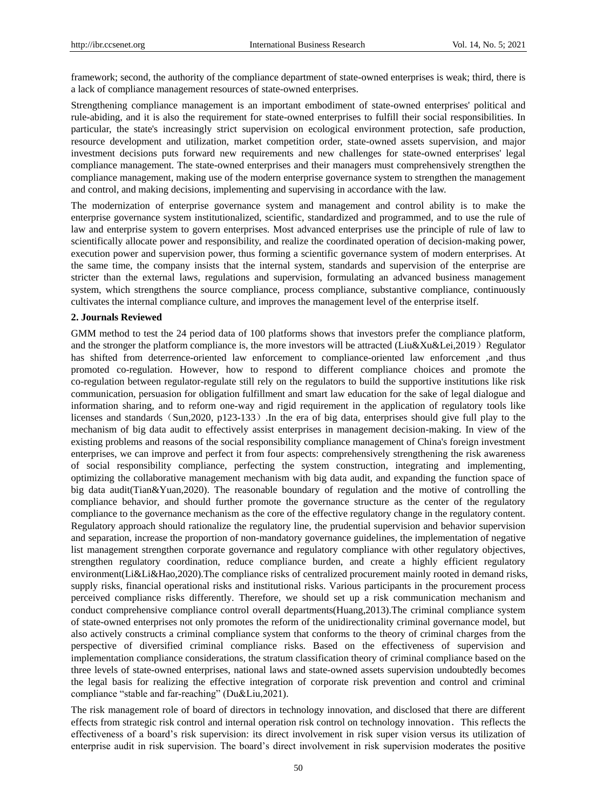framework; second, the authority of the compliance department of state-owned enterprises is weak; third, there is a lack of compliance management resources of state-owned enterprises.

Strengthening compliance management is an important embodiment of state-owned enterprises' political and rule-abiding, and it is also the requirement for state-owned enterprises to fulfill their social responsibilities. In particular, the state's increasingly strict supervision on ecological environment protection, safe production, resource development and utilization, market competition order, state-owned assets supervision, and major investment decisions puts forward new requirements and new challenges for state-owned enterprises' legal compliance management. The state-owned enterprises and their managers must comprehensively strengthen the compliance management, making use of the modern enterprise governance system to strengthen the management and control, and making decisions, implementing and supervising in accordance with the law.

The modernization of enterprise governance system and management and control ability is to make the enterprise governance system institutionalized, scientific, standardized and programmed, and to use the rule of law and enterprise system to govern enterprises. Most advanced enterprises use the principle of rule of law to scientifically allocate power and responsibility, and realize the coordinated operation of decision-making power, execution power and supervision power, thus forming a scientific governance system of modern enterprises. At the same time, the company insists that the internal system, standards and supervision of the enterprise are stricter than the external laws, regulations and supervision, formulating an advanced business management system, which strengthens the source compliance, process compliance, substantive compliance, continuously cultivates the internal compliance culture, and improves the management level of the enterprise itself.

#### **2. Journals Reviewed**

GMM method to test the 24 period data of 100 platforms shows that investors prefer the compliance platform, and the stronger the platform compliance is, the more investors will be attracted (Liu&Xu&Lei,2019) Regulator has shifted from deterrence-oriented law enforcement to compliance-oriented law enforcement ,and thus promoted co-regulation. However, how to respond to different compliance choices and promote the co-regulation between regulator-regulate still rely on the regulators to build the supportive institutions like risk communication, persuasion for obligation fulfillment and smart law education for the sake of legal dialogue and information sharing, and to reform one-way and rigid requirement in the application of regulatory tools like licenses and standards (Sun,2020, p123-133). In the era of big data, enterprises should give full play to the mechanism of big data audit to effectively assist enterprises in management decision-making. In view of the existing problems and reasons of the social responsibility compliance management of China's foreign investment enterprises, we can improve and perfect it from four aspects: comprehensively strengthening the risk awareness of social responsibility compliance, perfecting the system construction, integrating and implementing, optimizing the collaborative management mechanism with big data audit, and expanding the function space of big data audit(Tian&Yuan,2020). The reasonable boundary of regulation and the motive of controlling the compliance behavior, and should further promote the governance structure as the center of the regulatory compliance to the governance mechanism as the core of the effective regulatory change in the regulatory content. Regulatory approach should rationalize the regulatory line, the prudential supervision and behavior supervision and separation, increase the proportion of non-mandatory governance guidelines, the implementation of negative list management strengthen corporate governance and regulatory compliance with other regulatory objectives, strengthen regulatory coordination, reduce compliance burden, and create a highly efficient regulatory environment(Li&Li&Hao,2020).The compliance risks of centralized procurement mainly rooted in demand risks, supply risks, financial operational risks and institutional risks. Various participants in the procurement process perceived compliance risks differently. Therefore, we should set up a risk communication mechanism and conduct comprehensive compliance control overall departments(Huang,2013).The criminal compliance system of state-owned enterprises not only promotes the reform of the unidirectionality criminal governance model, but also actively constructs a criminal compliance system that conforms to the theory of criminal charges from the perspective of diversified criminal compliance risks. Based on the effectiveness of supervision and implementation compliance considerations, the stratum classification theory of criminal compliance based on the three levels of state-owned enterprises, national laws and state-owned assets supervision undoubtedly becomes the legal basis for realizing the effective integration of corporate risk prevention and control and criminal compliance "stable and far-reaching" (Du&Liu,2021).

The risk management role of board of directors in technology innovation, and disclosed that there are different effects from strategic risk control and internal operation risk control on technology innovation. This reflects the effectiveness of a board's risk supervision: its direct involvement in risk super vision versus its utilization of enterprise audit in risk supervision. The board's direct involvement in risk supervision moderates the positive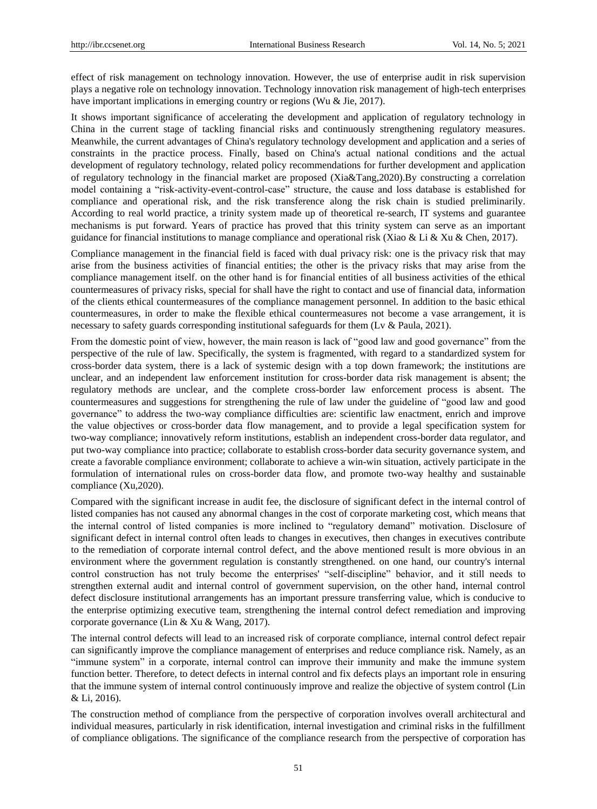effect of risk management on technology innovation. However, the use of enterprise audit in risk supervision plays a negative role on technology innovation. Technology innovation risk management of high-tech enterprises have important implications in emerging country or regions (Wu & Jie, 2017).

It shows important significance of accelerating the development and application of regulatory technology in China in the current stage of tackling financial risks and continuously strengthening regulatory measures. Meanwhile, the current advantages of China's regulatory technology development and application and a series of constraints in the practice process. Finally, based on China's actual national conditions and the actual development of regulatory technology, related policy recommendations for further development and application of regulatory technology in the financial market are proposed (Xia&Tang,2020).By constructing a correlation model containing a "risk-activity-event-control-case" structure, the cause and loss database is established for compliance and operational risk, and the risk transference along the risk chain is studied preliminarily. According to real world practice, a trinity system made up of theoretical re-search, IT systems and guarantee mechanisms is put forward. Years of practice has proved that this trinity system can serve as an important guidance for financial institutions to manage compliance and operational risk (Xiao & Li & Xu & Chen, 2017).

Compliance management in the financial field is faced with dual privacy risk: one is the privacy risk that may arise from the business activities of financial entities; the other is the privacy risks that may arise from the compliance management itself. on the other hand is for financial entities of all business activities of the ethical countermeasures of privacy risks, special for shall have the right to contact and use of financial data, information of the clients ethical countermeasures of the compliance management personnel. In addition to the basic ethical countermeasures, in order to make the flexible ethical countermeasures not become a vase arrangement, it is necessary to safety guards corresponding institutional safeguards for them (Lv & Paula, 2021).

From the domestic point of view, however, the main reason is lack of "good law and good governance" from the perspective of the rule of law. Specifically, the system is fragmented, with regard to a standardized system for cross-border data system, there is a lack of systemic design with a top down framework; the institutions are unclear, and an independent law enforcement institution for cross-border data risk management is absent; the regulatory methods are unclear, and the complete cross-border law enforcement process is absent. The countermeasures and suggestions for strengthening the rule of law under the guideline of "good law and good governance" to address the two-way compliance difficulties are: scientific law enactment, enrich and improve the value objectives or cross-border data flow management, and to provide a legal specification system for two-way compliance; innovatively reform institutions, establish an independent cross-border data regulator, and put two-way compliance into practice; collaborate to establish cross-border data security governance system, and create a favorable compliance environment; collaborate to achieve a win-win situation, actively participate in the formulation of international rules on cross-border data flow, and promote two-way healthy and sustainable compliance (Xu,2020).

Compared with the significant increase in audit fee, the disclosure of significant defect in the internal control of listed companies has not caused any abnormal changes in the cost of corporate marketing cost, which means that the internal control of listed companies is more inclined to "regulatory demand" motivation. Disclosure of significant defect in internal control often leads to changes in executives, then changes in executives contribute to the remediation of corporate internal control defect, and the above mentioned result is more obvious in an environment where the government regulation is constantly strengthened. on one hand, our country's internal control construction has not truly become the enterprises' "self-discipline" behavior, and it still needs to strengthen external audit and internal control of government supervision, on the other hand, internal control defect disclosure institutional arrangements has an important pressure transferring value, which is conducive to the enterprise optimizing executive team, strengthening the internal control defect remediation and improving corporate governance (Lin & Xu & Wang, 2017).

The internal control defects will lead to an increased risk of corporate compliance, internal control defect repair can significantly improve the compliance management of enterprises and reduce compliance risk. Namely, as an "immune system" in a corporate, internal control can improve their immunity and make the immune system function better. Therefore, to detect defects in internal control and fix defects plays an important role in ensuring that the immune system of internal control continuously improve and realize the objective of system control (Lin & Li, 2016).

The construction method of compliance from the perspective of corporation involves overall architectural and individual measures, particularly in risk identification, internal investigation and criminal risks in the fulfillment of compliance obligations. The significance of the compliance research from the perspective of corporation has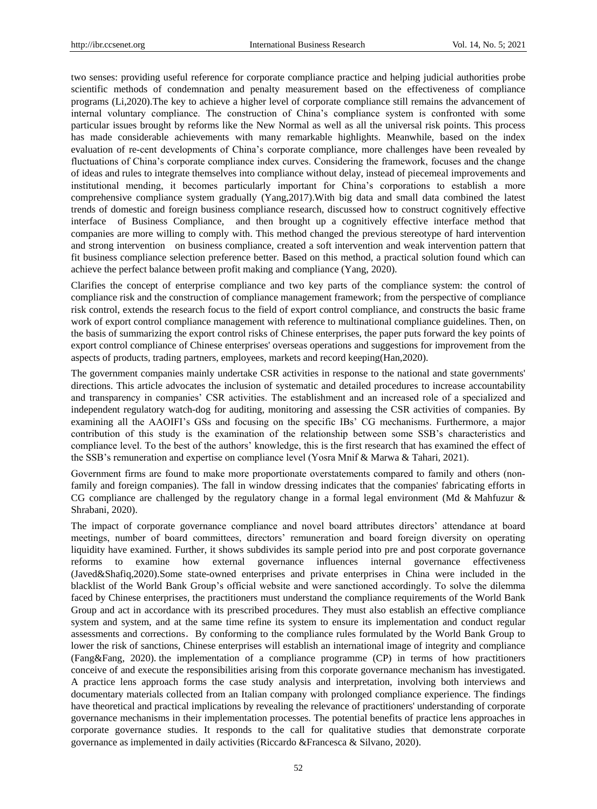two senses: providing useful reference for corporate compliance practice and helping judicial authorities probe scientific methods of condemnation and penalty measurement based on the effectiveness of compliance programs (Li,2020).The key to achieve a higher level of corporate compliance still remains the advancement of internal voluntary compliance. The construction of China's compliance system is confronted with some particular issues brought by reforms like the New Normal as well as all the universal risk points. This process has made considerable achievements with many remarkable highlights. Meanwhile, based on the index evaluation of re-cent developments of China's corporate compliance, more challenges have been revealed by fluctuations of China's corporate compliance index curves. Considering the framework, focuses and the change of ideas and rules to integrate themselves into compliance without delay, instead of piecemeal improvements and institutional mending, it becomes particularly important for China's corporations to establish a more comprehensive compliance system gradually (Yang,2017).With big data and small data combined the latest trends of domestic and foreign business compliance research, discussed how to construct cognitively effective interface of Business Compliance, and then brought up a cognitively effective interface method that companies are more willing to comply with. This method changed the previous stereotype of hard intervention and strong intervention on business compliance, created a soft intervention and weak intervention pattern that fit business compliance selection preference better. Based on this method, a practical solution found which can achieve the perfect balance between profit making and compliance (Yang, 2020).

Clarifies the concept of enterprise compliance and two key parts of the compliance system: the control of compliance risk and the construction of compliance management framework; from the perspective of compliance risk control, extends the research focus to the field of export control compliance, and constructs the basic frame work of export control compliance management with reference to multinational compliance guidelines. Then, on the basis of summarizing the export control risks of Chinese enterprises, the paper puts forward the key points of export control compliance of Chinese enterprises' overseas operations and suggestions for improvement from the aspects of products, trading partners, employees, markets and record keeping(Han,2020).

The government companies mainly undertake CSR activities in response to the national and state governments' directions. This article advocates the inclusion of systematic and detailed procedures to increase accountability and transparency in companies' CSR activities. The establishment and an increased role of a specialized and independent regulatory watch-dog for auditing, monitoring and assessing the CSR activities of companies. By examining all the AAOIFI's GSs and focusing on the specific IBs' CG mechanisms. Furthermore, a major contribution of this study is the examination of the relationship between some SSB's characteristics and compliance level. To the best of the authors' knowledge, this is the first research that has examined the effect of the SSB's remuneration and expertise on compliance level (Yosra Mnif & Marwa & Tahari, 2021).

Government firms are found to make more proportionate overstatements compared to family and others (nonfamily and foreign companies). The fall in window dressing indicates that the companies' fabricating efforts in CG compliance are challenged by the regulatory change in a formal legal environment (Md & Mahfuzur & Shrabani, 2020).

The impact of corporate governance compliance and novel board attributes directors' attendance at board meetings, number of board committees, directors' remuneration and board foreign diversity on operating liquidity have examined. Further, it shows subdivides its sample period into pre and post corporate governance reforms to examine how external governance influences internal governance effectiveness (Javed&Shafiq,2020).Some state-owned enterprises and private enterprises in China were included in the blacklist of the World Bank Group's official website and were sanctioned accordingly. To solve the dilemma faced by Chinese enterprises, the practitioners must understand the compliance requirements of the World Bank Group and act in accordance with its prescribed procedures. They must also establish an effective compliance system and system, and at the same time refine its system to ensure its implementation and conduct regular assessments and corrections.By conforming to the compliance rules formulated by the World Bank Group to lower the risk of sanctions, Chinese enterprises will establish an international image of integrity and compliance (Fang&Fang, 2020). the implementation of a compliance programme (CP) in terms of how practitioners conceive of and execute the responsibilities arising from this corporate governance mechanism has investigated. A practice lens approach forms the case study analysis and interpretation, involving both interviews and documentary materials collected from an Italian company with prolonged compliance experience. The findings have theoretical and practical implications by revealing the relevance of practitioners' understanding of corporate governance mechanisms in their implementation processes. The potential benefits of practice lens approaches in corporate governance studies. It responds to the call for qualitative studies that demonstrate corporate governance as implemented in daily activities (Riccardo &Francesca & Silvano, 2020).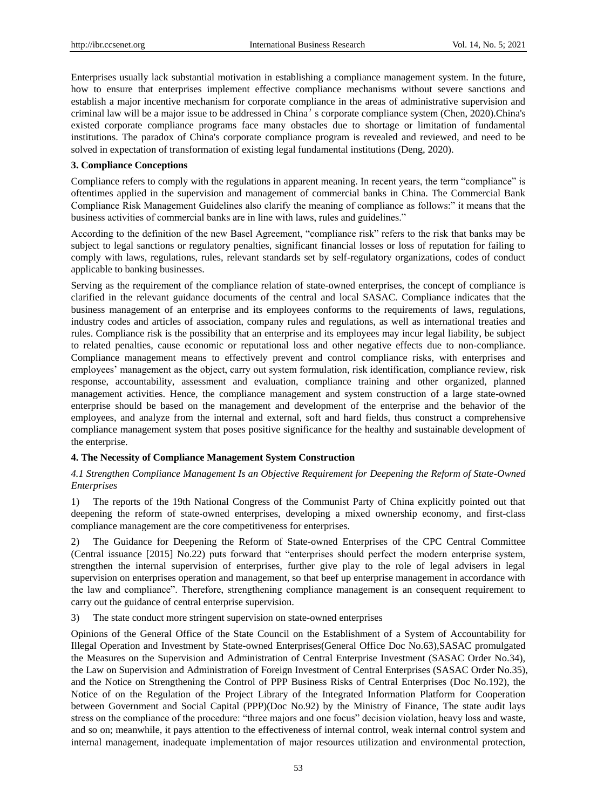Enterprises usually lack substantial motivation in establishing a compliance management system. In the future, how to ensure that enterprises implement effective compliance mechanisms without severe sanctions and establish a major incentive mechanism for corporate compliance in the areas of administrative supervision and criminal law will be a major issue to be addressed in China's corporate compliance system (Chen, 2020).China's existed corporate compliance programs face many obstacles due to shortage or limitation of fundamental institutions. The paradox of China's corporate compliance program is revealed and reviewed, and need to be solved in expectation of transformation of existing legal fundamental institutions (Deng, 2020).

#### **3. Compliance Conceptions**

Compliance refers to comply with the regulations in apparent meaning. In recent years, the term "compliance" is oftentimes applied in the supervision and management of commercial banks in China. The Commercial Bank Compliance Risk Management Guidelines also clarify the meaning of compliance as follows:" it means that the business activities of commercial banks are in line with laws, rules and guidelines."

According to the definition of the new Basel Agreement, "compliance risk" refers to the risk that banks may be subject to legal sanctions or regulatory penalties, significant financial losses or loss of reputation for failing to comply with laws, regulations, rules, relevant standards set by self-regulatory organizations, codes of conduct applicable to banking businesses.

Serving as the requirement of the compliance relation of state-owned enterprises, the concept of compliance is clarified in the relevant guidance documents of the central and local SASAC. Compliance indicates that the business management of an enterprise and its employees conforms to the requirements of laws, regulations, industry codes and articles of association, company rules and regulations, as well as international treaties and rules. Compliance risk is the possibility that an enterprise and its employees may incur legal liability, be subject to related penalties, cause economic or reputational loss and other negative effects due to non-compliance. Compliance management means to effectively prevent and control compliance risks, with enterprises and employees' management as the object, carry out system formulation, risk identification, compliance review, risk response, accountability, assessment and evaluation, compliance training and other organized, planned management activities. Hence, the compliance management and system construction of a large state-owned enterprise should be based on the management and development of the enterprise and the behavior of the employees, and analyze from the internal and external, soft and hard fields, thus construct a comprehensive compliance management system that poses positive significance for the healthy and sustainable development of the enterprise.

# **4. The Necessity of Compliance Management System Construction**

# *4.1 Strengthen Compliance Management Is an Objective Requirement for Deepening the Reform of State-Owned Enterprises*

1) The reports of the 19th National Congress of the Communist Party of China explicitly pointed out that deepening the reform of state-owned enterprises, developing a mixed ownership economy, and first-class compliance management are the core competitiveness for enterprises.

2) The Guidance for Deepening the Reform of State-owned Enterprises of the CPC Central Committee (Central issuance [2015] No.22) puts forward that "enterprises should perfect the modern enterprise system, strengthen the internal supervision of enterprises, further give play to the role of legal advisers in legal supervision on enterprises operation and management, so that beef up enterprise management in accordance with the law and compliance". Therefore, strengthening compliance management is an consequent requirement to carry out the guidance of central enterprise supervision.

3) The state conduct more stringent supervision on state-owned enterprises

Opinions of the General Office of the State Council on the Establishment of a System of Accountability for Illegal Operation and Investment by State-owned Enterprises(General Office Doc No.63),SASAC promulgated the Measures on the Supervision and Administration of Central Enterprise Investment (SASAC Order No.34), the Law on Supervision and Administration of Foreign Investment of Central Enterprises (SASAC Order No.35), and the Notice on Strengthening the Control of PPP Business Risks of Central Enterprises (Doc No.192), the Notice of on the Regulation of the Project Library of the Integrated Information Platform for Cooperation between Government and Social Capital (PPP)(Doc No.92) by the Ministry of Finance, The state audit lays stress on the compliance of the procedure: "three majors and one focus" decision violation, heavy loss and waste, and so on; meanwhile, it pays attention to the effectiveness of internal control, weak internal control system and internal management, inadequate implementation of major resources utilization and environmental protection,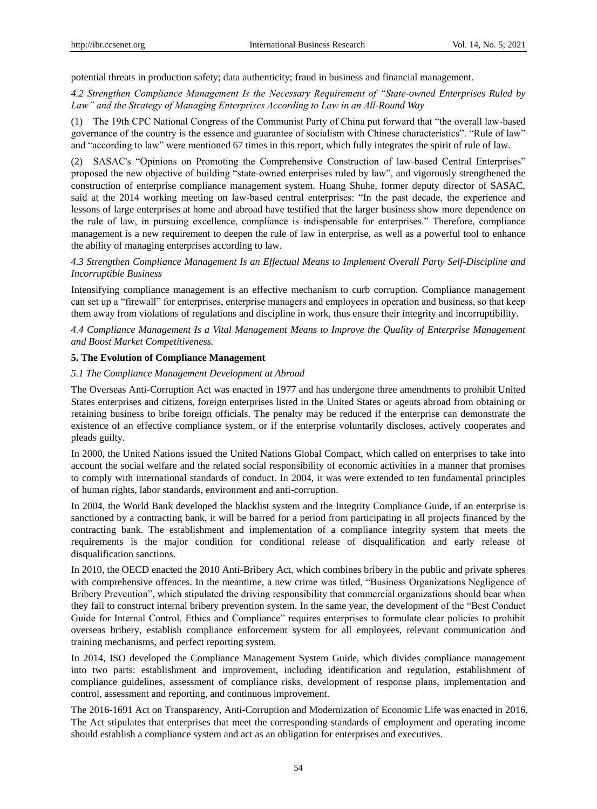potential threats in production safety; data authenticity; fraud in business and financial management.

# *4.2 Strengthen Compliance Management Is the Necessary Requirement of "State-owned Enterprises Ruled by Law" and the Strategy of Managing Enterprises According to Law in an All-Round Way*

(1) The 19th CPC National Congress of the Communist Party of China put forward that "the overall law-based governance of the country is the essence and guarantee of socialism with Chinese characteristics". "Rule of law" and "according to law" were mentioned 67 times in this report, which fully integrates the spirit of rule of law.

(2) SASAC's "Opinions on Promoting the Comprehensive Construction of law-based Central Enterprises" proposed the new objective of building "state-owned enterprises ruled by law", and vigorously strengthened the construction of enterprise compliance management system. Huang Shuhe, former deputy director of SASAC, said at the 2014 working meeting on law-based central enterprises: "In the past decade, the experience and lessons of large enterprises at home and abroad have testified that the larger business show more dependence on the rule of law, in pursuing excellence, compliance is indispensable for enterprises." Therefore, compliance management is a new requirement to deepen the rule of law in enterprise, as well as a powerful tool to enhance the ability of managing enterprises according to law.

*4.3 Strengthen Compliance Management Is an Effectual Means to Implement Overall Party Self-Discipline and Incorruptible Business*

Intensifying compliance management is an effective mechanism to curb corruption. Compliance management can set up a "firewall" for enterprises, enterprise managers and employees in operation and business, so that keep them away from violations of regulations and discipline in work, thus ensure their integrity and incorruptibility.

*4.4 Compliance Management Is a Vital Management Means to Improve the Quality of Enterprise Management and Boost Market Competitiveness.*

#### **5. The Evolution of Compliance Management**

#### *5.1 The Compliance Management Development at Abroad*

The Overseas Anti-Corruption Act was enacted in 1977 and has undergone three amendments to prohibit United States enterprises and citizens, foreign enterprises listed in the United States or agents abroad from obtaining or retaining business to bribe foreign officials. The penalty may be reduced if the enterprise can demonstrate the existence of an effective compliance system, or if the enterprise voluntarily discloses, actively cooperates and pleads guilty.

In 2000, the United Nations issued the United Nations Global Compact, which called on enterprises to take into account the social welfare and the related social responsibility of economic activities in a manner that promises to comply with international standards of conduct. In 2004, it was were extended to ten fundamental principles of human rights, labor standards, environment and anti-corruption.

In 2004, the World Bank developed the blacklist system and the Integrity Compliance Guide, if an enterprise is sanctioned by a contracting bank, it will be barred for a period from participating in all projects financed by the contracting bank. The establishment and implementation of a compliance integrity system that meets the requirements is the major condition for conditional release of disqualification and early release of disqualification sanctions.

In 2010, the OECD enacted the 2010 Anti-Bribery Act, which combines bribery in the public and private spheres with comprehensive offences. In the meantime, a new crime was titled, "Business Organizations Negligence of Bribery Prevention", which stipulated the driving responsibility that commercial organizations should bear when they fail to construct internal bribery prevention system. In the same year, the development of the "Best Conduct Guide for Internal Control, Ethics and Compliance" requires enterprises to formulate clear policies to prohibit overseas bribery, establish compliance enforcement system for all employees, relevant communication and training mechanisms, and perfect reporting system.

In 2014, ISO developed the Compliance Management System Guide, which divides compliance management into two parts: establishment and improvement, including identification and regulation, establishment of compliance guidelines, assessment of compliance risks, development of response plans, implementation and control, assessment and reporting, and continuous improvement.

The 2016-1691 Act on Transparency, Anti-Corruption and Modernization of Economic Life was enacted in 2016. The Act stipulates that enterprises that meet the corresponding standards of employment and operating income should establish a compliance system and act as an obligation for enterprises and executives.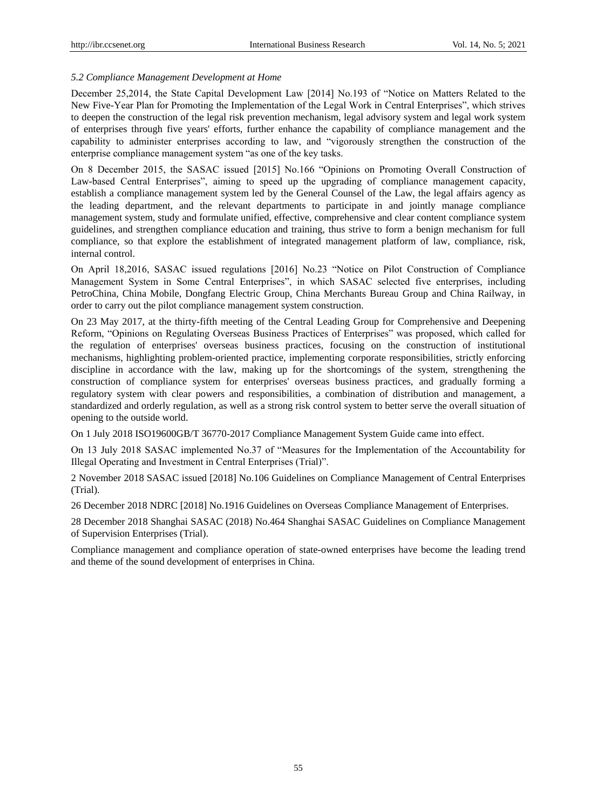### *5.2 Compliance Management Development at Home*

December 25,2014, the State Capital Development Law [2014] No.193 of "Notice on Matters Related to the New Five-Year Plan for Promoting the Implementation of the Legal Work in Central Enterprises", which strives to deepen the construction of the legal risk prevention mechanism, legal advisory system and legal work system of enterprises through five years' efforts, further enhance the capability of compliance management and the capability to administer enterprises according to law, and "vigorously strengthen the construction of the enterprise compliance management system "as one of the key tasks.

On 8 December 2015, the SASAC issued [2015] No.166 "Opinions on Promoting Overall Construction of Law-based Central Enterprises", aiming to speed up the upgrading of compliance management capacity, establish a compliance management system led by the General Counsel of the Law, the legal affairs agency as the leading department, and the relevant departments to participate in and jointly manage compliance management system, study and formulate unified, effective, comprehensive and clear content compliance system guidelines, and strengthen compliance education and training, thus strive to form a benign mechanism for full compliance, so that explore the establishment of integrated management platform of law, compliance, risk, internal control.

On April 18,2016, SASAC issued regulations [2016] No.23 "Notice on Pilot Construction of Compliance Management System in Some Central Enterprises", in which SASAC selected five enterprises, including PetroChina, China Mobile, Dongfang Electric Group, China Merchants Bureau Group and China Railway, in order to carry out the pilot compliance management system construction.

On 23 May 2017, at the thirty-fifth meeting of the Central Leading Group for Comprehensive and Deepening Reform, "Opinions on Regulating Overseas Business Practices of Enterprises" was proposed, which called for the regulation of enterprises' overseas business practices, focusing on the construction of institutional mechanisms, highlighting problem-oriented practice, implementing corporate responsibilities, strictly enforcing discipline in accordance with the law, making up for the shortcomings of the system, strengthening the construction of compliance system for enterprises' overseas business practices, and gradually forming a regulatory system with clear powers and responsibilities, a combination of distribution and management, a standardized and orderly regulation, as well as a strong risk control system to better serve the overall situation of opening to the outside world.

On 1 July 2018 ISO19600GB/T 36770-2017 Compliance Management System Guide came into effect.

On 13 July 2018 SASAC implemented No.37 of "Measures for the Implementation of the Accountability for Illegal Operating and Investment in Central Enterprises (Trial)".

2 November 2018 SASAC issued [2018] No.106 Guidelines on Compliance Management of Central Enterprises (Trial).

26 December 2018 NDRC [2018] No.1916 Guidelines on Overseas Compliance Management of Enterprises.

28 December 2018 Shanghai SASAC (2018) No.464 Shanghai SASAC Guidelines on Compliance Management of Supervision Enterprises (Trial).

Compliance management and compliance operation of state-owned enterprises have become the leading trend and theme of the sound development of enterprises in China.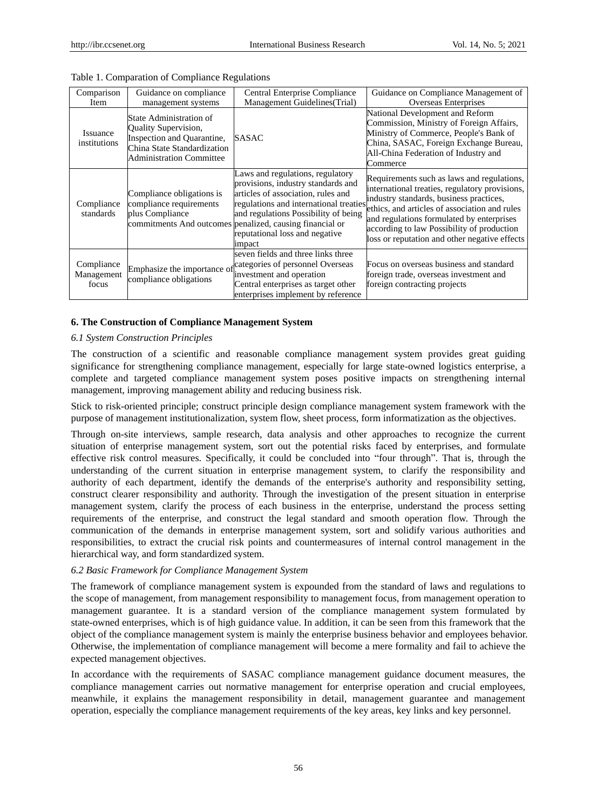| Comparison                        | Guidance on compliance                                                                                                                          | Central Enterprise Compliance                                                                                                                                                                                                                                                                          | Guidance on Compliance Management of                                                                                                                                                                                                                                                                                                 |
|-----------------------------------|-------------------------------------------------------------------------------------------------------------------------------------------------|--------------------------------------------------------------------------------------------------------------------------------------------------------------------------------------------------------------------------------------------------------------------------------------------------------|--------------------------------------------------------------------------------------------------------------------------------------------------------------------------------------------------------------------------------------------------------------------------------------------------------------------------------------|
| Item                              | management systems                                                                                                                              | Management Guidelines (Trial)                                                                                                                                                                                                                                                                          | Overseas Enterprises                                                                                                                                                                                                                                                                                                                 |
| Issuance<br>institutions          | State Administration of<br>Quality Supervision,<br>Inspection and Quarantine,<br>China State Standardization<br><b>Administration Committee</b> | <b>SASAC</b>                                                                                                                                                                                                                                                                                           | National Development and Reform<br>Commission, Ministry of Foreign Affairs,<br>Ministry of Commerce, People's Bank of<br>China, SASAC, Foreign Exchange Bureau,<br>All-China Federation of Industry and<br>Commerce                                                                                                                  |
| Compliance<br>standards           | Compliance obligations is<br>compliance requirements<br>plus Compliance                                                                         | Laws and regulations, regulatory<br>provisions, industry standards and<br>articles of association, rules and<br>regulations and international treaties<br>and regulations Possibility of being<br>commitments And outcomes penalized, causing financial or<br>reputational loss and negative<br>impact | Requirements such as laws and regulations,<br>international treaties, regulatory provisions,<br>industry standards, business practices,<br>ethics, and articles of association and rules<br>and regulations formulated by enterprises<br>according to law Possibility of production<br>loss or reputation and other negative effects |
| Compliance<br>Management<br>focus | compliance obligations                                                                                                                          | seven fields and three links three<br>Emphasize the importance of categories of personnel Overseas<br>investment and operation<br>Central enterprises as target other<br>enterprises implement by reference                                                                                            | Focus on overseas business and standard<br>foreign trade, overseas investment and<br>foreign contracting projects                                                                                                                                                                                                                    |

#### Table 1. Comparation of Compliance Regulations

#### **6. The Construction of Compliance Management System**

#### *6.1 System Construction Principles*

The construction of a scientific and reasonable compliance management system provides great guiding significance for strengthening compliance management, especially for large state-owned logistics enterprise, a complete and targeted compliance management system poses positive impacts on strengthening internal management, improving management ability and reducing business risk.

Stick to risk-oriented principle; construct principle design compliance management system framework with the purpose of management institutionalization, system flow, sheet process, form informatization as the objectives.

Through on-site interviews, sample research, data analysis and other approaches to recognize the current situation of enterprise management system, sort out the potential risks faced by enterprises, and formulate effective risk control measures. Specifically, it could be concluded into "four through". That is, through the understanding of the current situation in enterprise management system, to clarify the responsibility and authority of each department, identify the demands of the enterprise's authority and responsibility setting, construct clearer responsibility and authority. Through the investigation of the present situation in enterprise management system, clarify the process of each business in the enterprise, understand the process setting requirements of the enterprise, and construct the legal standard and smooth operation flow. Through the communication of the demands in enterprise management system, sort and solidify various authorities and responsibilities, to extract the crucial risk points and countermeasures of internal control management in the hierarchical way, and form standardized system.

# *6.2 Basic Framework for Compliance Management System*

The framework of compliance management system is expounded from the standard of laws and regulations to the scope of management, from management responsibility to management focus, from management operation to management guarantee. It is a standard version of the compliance management system formulated by state-owned enterprises, which is of high guidance value. In addition, it can be seen from this framework that the object of the compliance management system is mainly the enterprise business behavior and employees behavior. Otherwise, the implementation of compliance management will become a mere formality and fail to achieve the expected management objectives.

In accordance with the requirements of SASAC compliance management guidance document measures, the compliance management carries out normative management for enterprise operation and crucial employees, meanwhile, it explains the management responsibility in detail, management guarantee and management operation, especially the compliance management requirements of the key areas, key links and key personnel.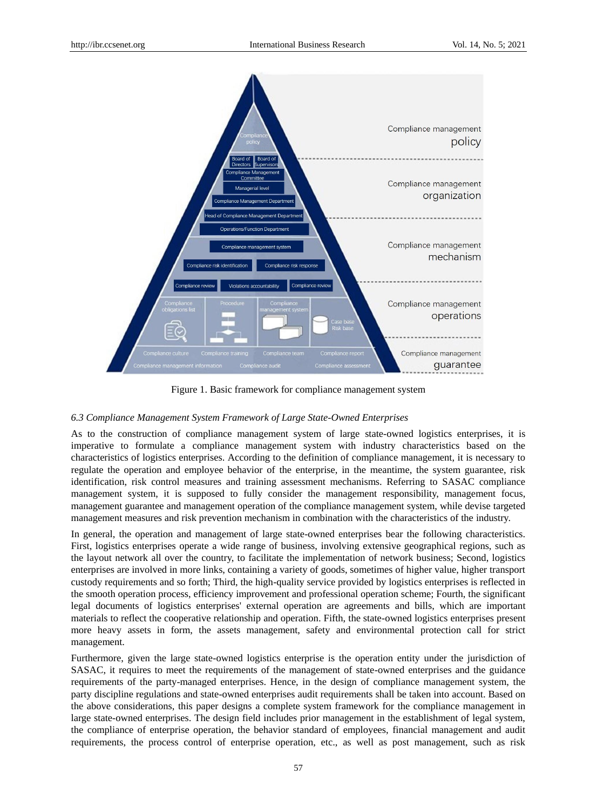

Figure 1. Basic framework for compliance management system

# *6.3 Compliance Management System Framework of Large State-Owned Enterprises*

As to the construction of compliance management system of large state-owned logistics enterprises, it is imperative to formulate a compliance management system with industry characteristics based on the characteristics of logistics enterprises. According to the definition of compliance management, it is necessary to regulate the operation and employee behavior of the enterprise, in the meantime, the system guarantee, risk identification, risk control measures and training assessment mechanisms. Referring to SASAC compliance management system, it is supposed to fully consider the management responsibility, management focus, management guarantee and management operation of the compliance management system, while devise targeted management measures and risk prevention mechanism in combination with the characteristics of the industry.

In general, the operation and management of large state-owned enterprises bear the following characteristics. First, logistics enterprises operate a wide range of business, involving extensive geographical regions, such as the layout network all over the country, to facilitate the implementation of network business; Second, logistics enterprises are involved in more links, containing a variety of goods, sometimes of higher value, higher transport custody requirements and so forth; Third, the high-quality service provided by logistics enterprises is reflected in the smooth operation process, efficiency improvement and professional operation scheme; Fourth, the significant legal documents of logistics enterprises' external operation are agreements and bills, which are important materials to reflect the cooperative relationship and operation. Fifth, the state-owned logistics enterprises present more heavy assets in form, the assets management, safety and environmental protection call for strict management.

Furthermore, given the large state-owned logistics enterprise is the operation entity under the jurisdiction of SASAC, it requires to meet the requirements of the management of state-owned enterprises and the guidance requirements of the party-managed enterprises. Hence, in the design of compliance management system, the party discipline regulations and state-owned enterprises audit requirements shall be taken into account. Based on the above considerations, this paper designs a complete system framework for the compliance management in large state-owned enterprises. The design field includes prior management in the establishment of legal system, the compliance of enterprise operation, the behavior standard of employees, financial management and audit requirements, the process control of enterprise operation, etc., as well as post management, such as risk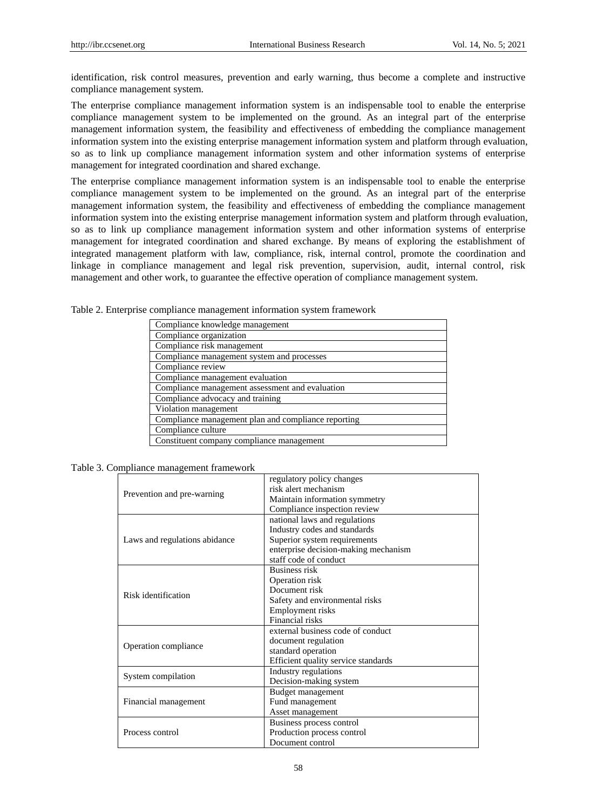identification, risk control measures, prevention and early warning, thus become a complete and instructive compliance management system.

The enterprise compliance management information system is an indispensable tool to enable the enterprise compliance management system to be implemented on the ground. As an integral part of the enterprise management information system, the feasibility and effectiveness of embedding the compliance management information system into the existing enterprise management information system and platform through evaluation, so as to link up compliance management information system and other information systems of enterprise management for integrated coordination and shared exchange.

The enterprise compliance management information system is an indispensable tool to enable the enterprise compliance management system to be implemented on the ground. As an integral part of the enterprise management information system, the feasibility and effectiveness of embedding the compliance management information system into the existing enterprise management information system and platform through evaluation, so as to link up compliance management information system and other information systems of enterprise management for integrated coordination and shared exchange. By means of exploring the establishment of integrated management platform with law, compliance, risk, internal control, promote the coordination and linkage in compliance management and legal risk prevention, supervision, audit, internal control, risk management and other work, to guarantee the effective operation of compliance management system.

| Compliance knowledge management                     |
|-----------------------------------------------------|
| Compliance organization                             |
| Compliance risk management                          |
| Compliance management system and processes          |
| Compliance review                                   |
| Compliance management evaluation                    |
| Compliance management assessment and evaluation     |
| Compliance advocacy and training                    |
| Violation management                                |
| Compliance management plan and compliance reporting |
| Compliance culture                                  |
| Constituent company compliance management           |

Table 2. Enterprise compliance management information system framework

Table 3. Compliance management framework

|                               | regulatory policy changes            |  |
|-------------------------------|--------------------------------------|--|
| Prevention and pre-warning    | risk alert mechanism                 |  |
|                               | Maintain information symmetry        |  |
|                               | Compliance inspection review         |  |
|                               | national laws and regulations        |  |
|                               | Industry codes and standards         |  |
| Laws and regulations abidance | Superior system requirements         |  |
|                               | enterprise decision-making mechanism |  |
|                               | staff code of conduct                |  |
|                               | <b>Business risk</b>                 |  |
|                               | Operation risk                       |  |
| Risk identification           | Document risk                        |  |
|                               | Safety and environmental risks       |  |
|                               | Employment risks                     |  |
|                               | Financial risks                      |  |
|                               | external business code of conduct    |  |
| Operation compliance          | document regulation                  |  |
|                               | standard operation                   |  |
|                               | Efficient quality service standards  |  |
| System compilation            | Industry regulations                 |  |
|                               | Decision-making system               |  |
|                               | Budget management                    |  |
| Financial management          | Fund management                      |  |
|                               | Asset management                     |  |
|                               | Business process control             |  |
| Process control               | Production process control           |  |
|                               | Document control                     |  |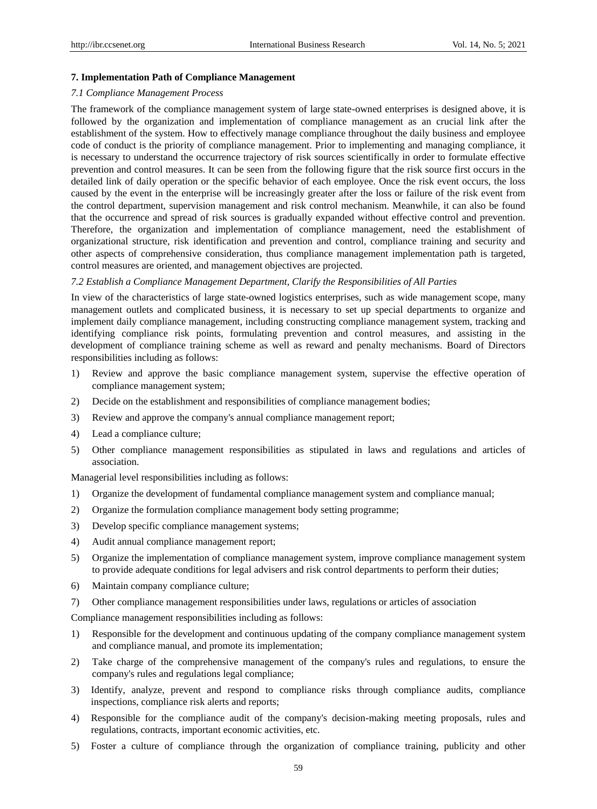# **7. Implementation Path of Compliance Management**

# *7.1 Compliance Management Process*

The framework of the compliance management system of large state-owned enterprises is designed above, it is followed by the organization and implementation of compliance management as an crucial link after the establishment of the system. How to effectively manage compliance throughout the daily business and employee code of conduct is the priority of compliance management. Prior to implementing and managing compliance, it is necessary to understand the occurrence trajectory of risk sources scientifically in order to formulate effective prevention and control measures. It can be seen from the following figure that the risk source first occurs in the detailed link of daily operation or the specific behavior of each employee. Once the risk event occurs, the loss caused by the event in the enterprise will be increasingly greater after the loss or failure of the risk event from the control department, supervision management and risk control mechanism. Meanwhile, it can also be found that the occurrence and spread of risk sources is gradually expanded without effective control and prevention. Therefore, the organization and implementation of compliance management, need the establishment of organizational structure, risk identification and prevention and control, compliance training and security and other aspects of comprehensive consideration, thus compliance management implementation path is targeted, control measures are oriented, and management objectives are projected.

#### *7.2 Establish a Compliance Management Department, Clarify the Responsibilities of All Parties*

In view of the characteristics of large state-owned logistics enterprises, such as wide management scope, many management outlets and complicated business, it is necessary to set up special departments to organize and implement daily compliance management, including constructing compliance management system, tracking and identifying compliance risk points, formulating prevention and control measures, and assisting in the development of compliance training scheme as well as reward and penalty mechanisms. Board of Directors responsibilities including as follows:

- 1) Review and approve the basic compliance management system, supervise the effective operation of compliance management system;
- 2) Decide on the establishment and responsibilities of compliance management bodies;
- 3) Review and approve the company's annual compliance management report;
- 4) Lead a compliance culture;
- 5) Other compliance management responsibilities as stipulated in laws and regulations and articles of association.

Managerial level responsibilities including as follows:

- 1) Organize the development of fundamental compliance management system and compliance manual;
- 2) Organize the formulation compliance management body setting programme;
- 3) Develop specific compliance management systems;
- 4) Audit annual compliance management report;
- 5) Organize the implementation of compliance management system, improve compliance management system to provide adequate conditions for legal advisers and risk control departments to perform their duties;
- 6) Maintain company compliance culture;
- 7) Other compliance management responsibilities under laws, regulations or articles of association

Compliance management responsibilities including as follows:

- 1) Responsible for the development and continuous updating of the company compliance management system and compliance manual, and promote its implementation;
- 2) Take charge of the comprehensive management of the company's rules and regulations, to ensure the company's rules and regulations legal compliance;
- 3) Identify, analyze, prevent and respond to compliance risks through compliance audits, compliance inspections, compliance risk alerts and reports;
- 4) Responsible for the compliance audit of the company's decision-making meeting proposals, rules and regulations, contracts, important economic activities, etc.
- 5) Foster a culture of compliance through the organization of compliance training, publicity and other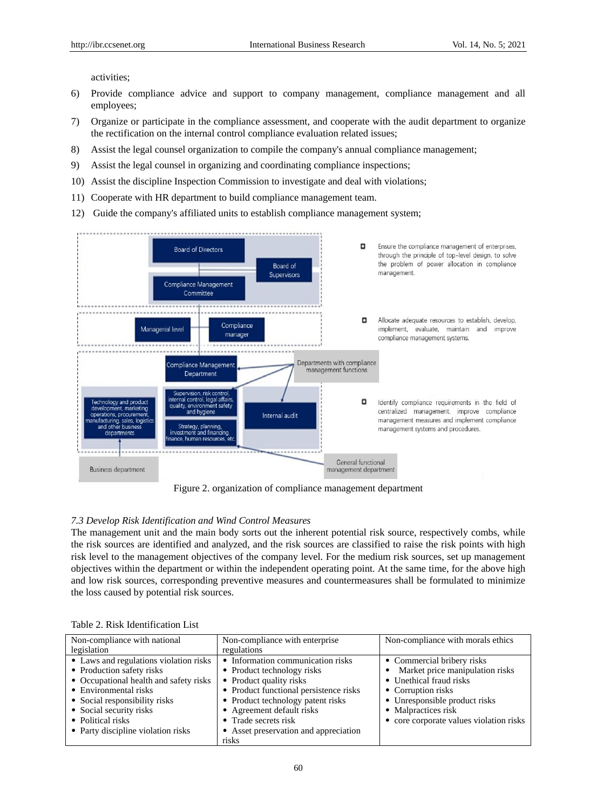activities;

- 6) Provide compliance advice and support to company management, compliance management and all employees;
- 7) Organize or participate in the compliance assessment, and cooperate with the audit department to organize the rectification on the internal control compliance evaluation related issues;
- 8) Assist the legal counsel organization to compile the company's annual compliance management;
- 9) Assist the legal counsel in organizing and coordinating compliance inspections;
- 10) Assist the discipline Inspection Commission to investigate and deal with violations;
- 11) Cooperate with HR department to build compliance management team.
- 12) Guide the company's affiliated units to establish compliance management system;



Figure 2. organization of compliance management department

#### *7.3 Develop Risk Identification and Wind Control Measures*

The management unit and the main body sorts out the inherent potential risk source, respectively combs, while the risk sources are identified and analyzed, and the risk sources are classified to raise the risk points with high risk level to the management objectives of the company level. For the medium risk sources, set up management objectives within the department or within the independent operating point. At the same time, for the above high and low risk sources, corresponding preventive measures and countermeasures shall be formulated to minimize the loss caused by potential risk sources.

|  |  | Table 2. Risk Identification List |  |
|--|--|-----------------------------------|--|
|--|--|-----------------------------------|--|

| Non-compliance with national           | Non-compliance with enterprise         | Non-compliance with morals ethics       |
|----------------------------------------|----------------------------------------|-----------------------------------------|
| legislation                            | regulations                            |                                         |
| • Laws and regulations violation risks | • Information communication risks      | • Commercial bribery risks              |
| • Production safety risks              | • Product technology risks             | Market price manipulation risks         |
| • Occupational health and safety risks | • Product quality risks                | • Unethical fraud risks                 |
| • Environmental risks                  | • Product functional persistence risks | • Corruption risks                      |
| • Social responsibility risks          | • Product technology patent risks      | • Unresponsible product risks           |
| • Social security risks                | • Agreement default risks              | • Malpractices risk                     |
| • Political risks                      | • Trade secrets risk                   | • core corporate values violation risks |
| • Party discipline violation risks     | • Asset preservation and appreciation  |                                         |
|                                        | risks                                  |                                         |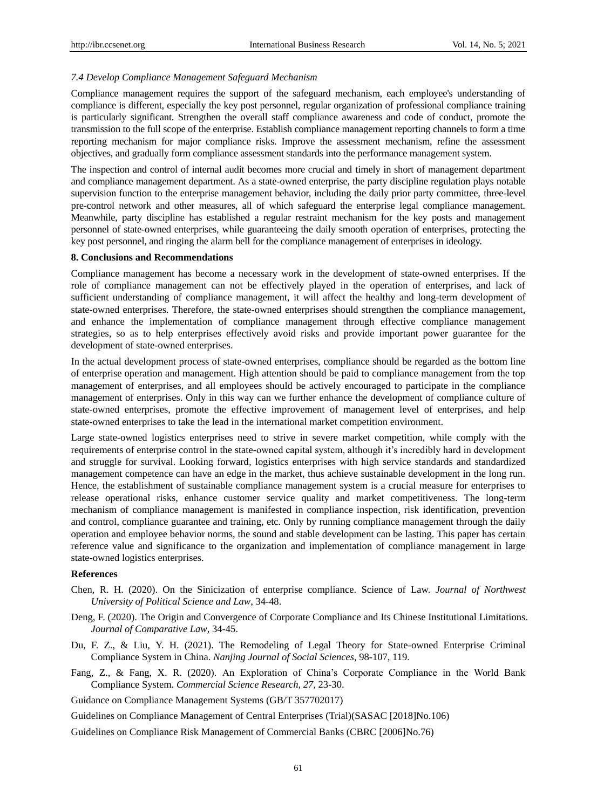#### *7.4 Develop Compliance Management Safeguard Mechanism*

Compliance management requires the support of the safeguard mechanism, each employee's understanding of compliance is different, especially the key post personnel, regular organization of professional compliance training is particularly significant. Strengthen the overall staff compliance awareness and code of conduct, promote the transmission to the full scope of the enterprise. Establish compliance management reporting channels to form a time reporting mechanism for major compliance risks. Improve the assessment mechanism, refine the assessment objectives, and gradually form compliance assessment standards into the performance management system.

The inspection and control of internal audit becomes more crucial and timely in short of management department and compliance management department. As a state-owned enterprise, the party discipline regulation plays notable supervision function to the enterprise management behavior, including the daily prior party committee, three-level pre-control network and other measures, all of which safeguard the enterprise legal compliance management. Meanwhile, party discipline has established a regular restraint mechanism for the key posts and management personnel of state-owned enterprises, while guaranteeing the daily smooth operation of enterprises, protecting the key post personnel, and ringing the alarm bell for the compliance management of enterprises in ideology.

#### **8. Conclusions and Recommendations**

Compliance management has become a necessary work in the development of state-owned enterprises. If the role of compliance management can not be effectively played in the operation of enterprises, and lack of sufficient understanding of compliance management, it will affect the healthy and long-term development of state-owned enterprises. Therefore, the state-owned enterprises should strengthen the compliance management, and enhance the implementation of compliance management through effective compliance management strategies, so as to help enterprises effectively avoid risks and provide important power guarantee for the development of state-owned enterprises.

In the actual development process of state-owned enterprises, compliance should be regarded as the bottom line of enterprise operation and management. High attention should be paid to compliance management from the top management of enterprises, and all employees should be actively encouraged to participate in the compliance management of enterprises. Only in this way can we further enhance the development of compliance culture of state-owned enterprises, promote the effective improvement of management level of enterprises, and help state-owned enterprises to take the lead in the international market competition environment.

Large state-owned logistics enterprises need to strive in severe market competition, while comply with the requirements of enterprise control in the state-owned capital system, although it's incredibly hard in development and struggle for survival. Looking forward, logistics enterprises with high service standards and standardized management competence can have an edge in the market, thus achieve sustainable development in the long run. Hence, the establishment of sustainable compliance management system is a crucial measure for enterprises to release operational risks, enhance customer service quality and market competitiveness. The long-term mechanism of compliance management is manifested in compliance inspection, risk identification, prevention and control, compliance guarantee and training, etc. Only by running compliance management through the daily operation and employee behavior norms, the sound and stable development can be lasting. This paper has certain reference value and significance to the organization and implementation of compliance management in large state-owned logistics enterprises.

# **References**

- Chen, R. H. (2020). On the Sinicization of enterprise compliance. Science of Law. *Journal of Northwest University of Political Science and Law*, 34-48.
- Deng, F. (2020). The Origin and Convergence of Corporate Compliance and Its Chinese Institutional Limitations. *Journal of Comparative Law*, 34-45.
- Du, F. Z., & Liu, Y. H. (2021). The Remodeling of Legal Theory for State-owned Enterprise Criminal Compliance System in China. *Nanjing Journal of Social Sciences*, 98-107, 119.
- Fang, Z., & Fang, X. R. (2020). An Exploration of China's Corporate Compliance in the World Bank Compliance System. *Commercial Science Research*, *27,* 23-30.

Guidance on Compliance Management Systems (GB/T 357702017)

Guidelines on Compliance Management of Central Enterprises (Trial)(SASAC [2018]No.106)

Guidelines on Compliance Risk Management of Commercial Banks (CBRC [2006]No.76)